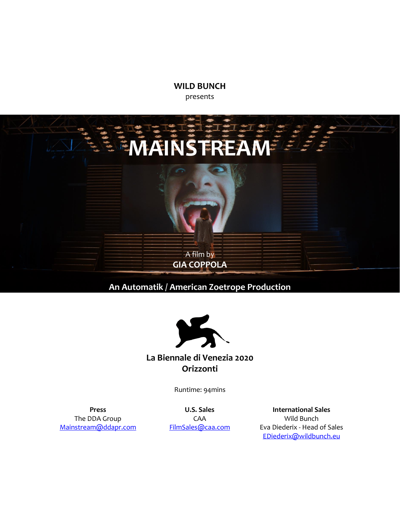**WILD BUNCH** presents



**An Automatik / American Zoetrope Production**



## **La Biennale di Venezia 2020 Orizzonti**

Runtime: 94mins

**Press** The DDA Group [Mainstream@ddapr.com](mailto:Mainstream@ddapr.com)

**U.S. Sales** CAA [FilmSales@caa.com](mailto:FilmSales@caa.com)

**International Sales** Wild Bunch Eva Diederix - Head of Sales [EDiederix@wildbunch.eu](mailto:EDiederix@wildbunch.eu)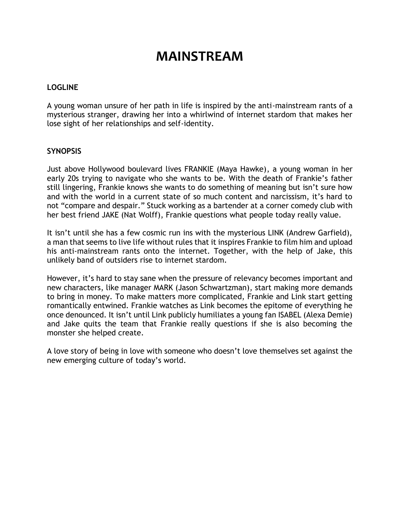## **MAINSTREAM**

### **LOGLINE**

A young woman unsure of her path in life is inspired by the anti-mainstream rants of a mysterious stranger, drawing her into a whirlwind of internet stardom that makes her lose sight of her relationships and self-identity.

### **SYNOPSIS**

Just above Hollywood boulevard lives FRANKIE (Maya Hawke), a young woman in her early 20s trying to navigate who she wants to be. With the death of Frankie's father still lingering, Frankie knows she wants to do something of meaning but isn't sure how and with the world in a current state of so much content and narcissism, it's hard to not "compare and despair." Stuck working as a bartender at a corner comedy club with her best friend JAKE (Nat Wolff), Frankie questions what people today really value.

It isn't until she has a few cosmic run ins with the mysterious LINK (Andrew Garfield), a man that seems to live life without rules that it inspires Frankie to film him and upload his anti-mainstream rants onto the internet. Together, with the help of Jake, this unlikely band of outsiders rise to internet stardom.

However, it's hard to stay sane when the pressure of relevancy becomes important and new characters, like manager MARK (Jason Schwartzman), start making more demands to bring in money. To make matters more complicated, Frankie and Link start getting romantically entwined. Frankie watches as Link becomes the epitome of everything he once denounced. It isn't until Link publicly humiliates a young fan ISABEL (Alexa Demie) and Jake quits the team that Frankie really questions if she is also becoming the monster she helped create.

A love story of being in love with someone who doesn't love themselves set against the new emerging culture of today's world.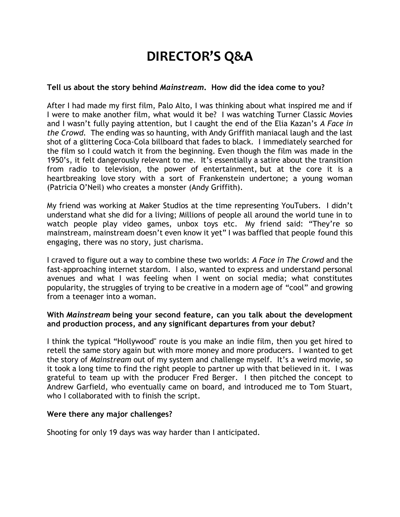# **DIRECTOR'S Q&A**

#### **Tell us about the story behind** *Mainstream***. How did the idea come to you?**

After I had made my first film, Palo Alto, I was thinking about what inspired me and if I were to make another film, what would it be? I was watching Turner Classic Movies and I wasn't fully paying attention, but I caught the end of the Elia Kazan's *A Face in the Crowd.* The ending was so haunting, with Andy Griffith maniacal laugh and the last shot of a glittering Coca-Cola billboard that fades to black. I immediately searched for the film so I could watch it from the beginning. Even though the film was made in the 1950's, it felt dangerously relevant to me. It's essentially a satire about the transition from radio to television, the power of entertainment, but at the core it is a heartbreaking love story with a sort of Frankenstein undertone; a young woman (Patricia O'Neil) who creates a monster (Andy Griffith).

My friend was working at Maker Studios at the time representing YouTubers. I didn't understand what she did for a living; Millions of people all around the world tune in to watch people play video games, unbox toys etc. My friend said: "They're so mainstream, mainstream doesn't even know it yet" I was baffled that people found this engaging, there was no story, just charisma.

I craved to figure out a way to combine these two worlds: *A Face in The Crowd* and the fast-approaching internet stardom. I also, wanted to express and understand personal avenues and what I was feeling when I went on social media; what constitutes popularity, the struggles of trying to be creative in a modern age of "cool" and growing from a teenager into a woman.

#### **With** *Mainstream* **being your second feature, can you talk about the development and production process, and any significant departures from your debut?**

I think the typical "Hollywood" route is you make an indie film, then you get hired to retell the same story again but with more money and more producers. I wanted to get the story of *Mainstream* out of my system and challenge myself. It's a weird movie, so it took a long time to find the right people to partner up with that believed in it. I was grateful to team up with the producer Fred Berger. I then pitched the concept to Andrew Garfield, who eventually came on board, and introduced me to Tom Stuart, who I collaborated with to finish the script.

### **Were there any major challenges?**

Shooting for only 19 days was way harder than I anticipated.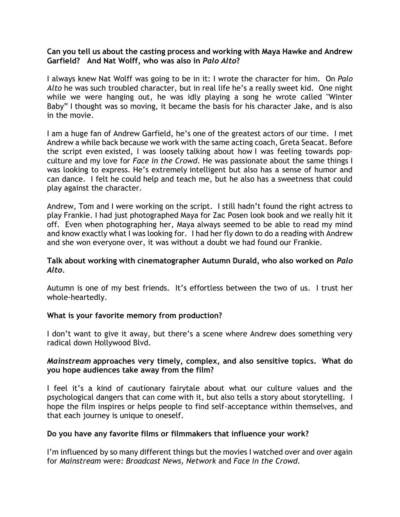#### **Can you tell us about the casting process and working with Maya Hawke and Andrew Garfield? And Nat Wolff, who was also in** *Palo Alto***?**

I always knew Nat Wolff was going to be in it: I wrote the character for him. On *Palo Alto* he was such troubled character, but in real life he's a really sweet kid. One night while we were hanging out, he was idly playing a song he wrote called "Winter Baby" I thought was so moving, it became the basis for his character Jake, and is also in the movie.

I am a huge fan of Andrew Garfield, he's one of the greatest actors of our time. I met Andrew a while back because we work with the same acting coach, Greta Seacat. Before the script even existed, I was loosely talking about how I was feeling towards popculture and my love for *Face in the Crowd*. He was passionate about the same things I was looking to express. He's extremely intelligent but also has a sense of humor and can dance. I felt he could help and teach me, but he also has a sweetness that could play against the character.

Andrew, Tom and I were working on the script. I still hadn't found the right actress to play Frankie. I had just photographed Maya for Zac Posen look book and we really hit it off. Even when photographing her, Maya always seemed to be able to read my mind and know exactly what I was looking for. I had her fly down to do a reading with Andrew and she won everyone over, it was without a doubt we had found our Frankie.

### **Talk about working with cinematographer Autumn Durald, who also worked on** *Palo Alto.*

Autumn is one of my best friends. It's effortless between the two of us. I trust her whole-heartedly.

### **What is your favorite memory from production?**

I don't want to give it away, but there's a scene where Andrew does something very radical down Hollywood Blvd.

### *Mainstream* **approaches very timely, complex, and also sensitive topics. What do you hope audiences take away from the film?**

I feel it's a kind of cautionary fairytale about what our culture values and the psychological dangers that can come with it, but also tells a story about storytelling. I hope the film inspires or helps people to find self-acceptance within themselves, and that each journey is unique to oneself.

### **Do you have any favorite films or filmmakers that influence your work?**

I'm influenced by so many different things but the movies I watched over and over again for *Mainstream* were*: Broadcast News, Network* and *Face in the Crowd.*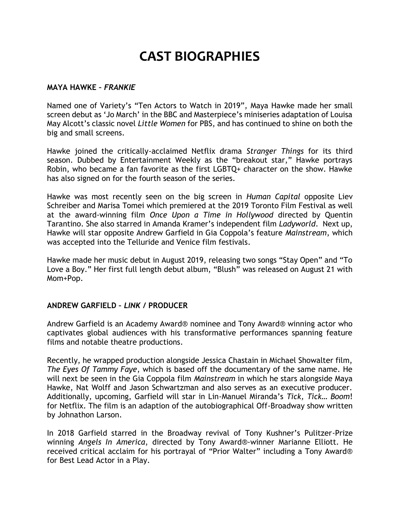## **CAST BIOGRAPHIES**

#### **MAYA HAWKE –** *FRANKIE*

Named one of Variety's "Ten Actors to Watch in 2019", Maya Hawke made her small screen debut as 'Jo March' in the BBC and Masterpiece's miniseries adaptation of Louisa May Alcott's classic novel *Little Women* for PBS, and has continued to shine on both the big and small screens.

Hawke joined the critically-acclaimed Netflix drama *Stranger Things* for its third season. Dubbed by Entertainment Weekly as the "breakout star," Hawke portrays Robin, who became a fan favorite as the first LGBTQ+ character on the show. Hawke has also signed on for the fourth season of the series.

Hawke was most recently seen on the big screen in *Human Capital* opposite Liev Schreiber and Marisa Tomei which premiered at the 2019 Toronto Film Festival as well at the award-winning film *Once Upon a Time in Hollywood* directed by Quentin Tarantino. She also starred in Amanda Kramer's independent film *Ladyworld*. Next up, Hawke will star opposite Andrew Garfield in Gia Coppola's feature *Mainstream*, which was accepted into the Telluride and Venice film festivals.

Hawke made her music debut in August 2019, releasing two songs "Stay Open" and "To Love a Boy." Her first full length debut album, "Blush" was released on August 21 with Mom+Pop.

### **ANDREW GARFIELD –** *LINK* **/ PRODUCER**

Andrew Garfield is an Academy Award® nominee and Tony Award® winning actor who captivates global audiences with his transformative performances spanning feature films and notable theatre productions.

Recently, he wrapped production alongside Jessica Chastain in Michael Showalter film, *The Eyes Of Tammy Faye*, which is based off the documentary of the same name. He will next be seen in the Gia Coppola film *Mainstream* in which he stars alongside Maya Hawke, Nat Wolff and Jason Schwartzman and also serves as an executive producer. Additionally, upcoming, Garfield will star in Lin-Manuel Miranda's *Tick, Tick… Boom*! for Netflix. The film is an adaption of the autobiographical Off-Broadway show written by Johnathon Larson.

In 2018 Garfield starred in the Broadway revival of Tony Kushner's Pulitzer-Prize winning *Angels In America*, directed by Tony Award®-winner Marianne Elliott. He received critical acclaim for his portrayal of "Prior Walter" including a Tony Award® for Best Lead Actor in a Play.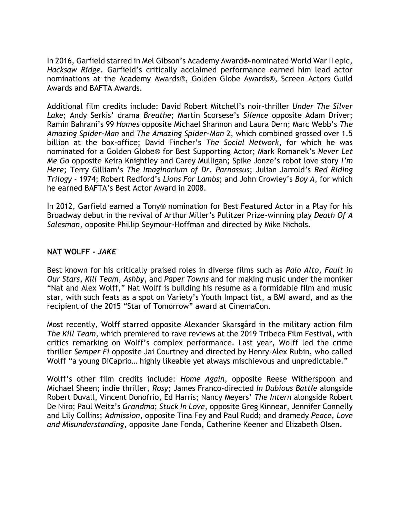In 2016, Garfield starred in Mel Gibson's Academy Award®-nominated World War II epic, *Hacksaw Ridge*. Garfield's critically acclaimed performance earned him lead actor nominations at the Academy Awards®, Golden Globe Awards®, Screen Actors Guild Awards and BAFTA Awards.

Additional film credits include: David Robert Mitchell's noir-thriller *Under The Silver Lake*; Andy Serkis' drama *Breathe*; Martin Scorsese's *Silence* opposite Adam Driver; Ramin Bahrani's 99 *Homes* opposite Michael Shannon and Laura Dern; Marc Webb's *The Amazing Spider-Man* and *The Amazing Spider-Man* 2, which combined grossed over 1.5 billion at the box-office; David Fincher's *The Social Network*, for which he was nominated for a Golden Globe® for Best Supporting Actor; Mark Romanek's *Never Let Me Go* opposite Keira Knightley and Carey Mulligan; Spike Jonze's robot love story *I'm Here*; Terry Gilliam's *The Imaginarium of Dr. Parnassus*; Julian Jarrold's *Red Riding Trilogy* - 1974; Robert Redford's *Lions For Lambs*; and John Crowley's *Boy A*, for which he earned BAFTA's Best Actor Award in 2008.

In 2012, Garfield earned a Tony® nomination for Best Featured Actor in a Play for his Broadway debut in the revival of Arthur Miller's Pulitzer Prize-winning play *Death Of A Salesman*, opposite Phillip Seymour-Hoffman and directed by Mike Nichols.

### **NAT WOLFF -** *JAKE*

Best known for his critically praised roles in diverse films such as *Palo Alto*, *Fault in Our Stars*, *Kill Team*, *Ashby*, and *Paper Towns* and for making music under the moniker "Nat and Alex Wolff," Nat Wolff is building his resume as a formidable film and music star, with such feats as a spot on Variety's Youth Impact list, a BMI award, and as the recipient of the 2015 "Star of Tomorrow" award at CinemaCon.

Most recently, Wolff starred opposite Alexander Skarsgård in the military action film *The Kill Team*, which premiered to rave reviews at the 2019 Tribeca Film Festival, with critics remarking on Wolff's complex performance. Last year, Wolff led the crime thriller *Semper Fi* opposite Jai Courtney and directed by Henry-Alex Rubin, who called Wolff "a young DiCaprio… highly likeable yet always mischievous and unpredictable."

Wolff's other film credits include: *Home Again*, opposite Reese Witherspoon and Michael Sheen; indie thriller, *Rosy*; James Franco-directed *In Dubious Battle* alongside Robert Duvall, Vincent Donofrio, Ed Harris; Nancy Meyers' *The Intern* alongside Robert De Niro; Paul Weitz's *Grandma*; *Stuck In Love*, opposite Greg Kinnear, Jennifer Connelly and Lily Collins; *Admission*, opposite Tina Fey and Paul Rudd; and dramedy *Peace, Love and Misunderstanding*, opposite Jane Fonda, Catherine Keener and Elizabeth Olsen.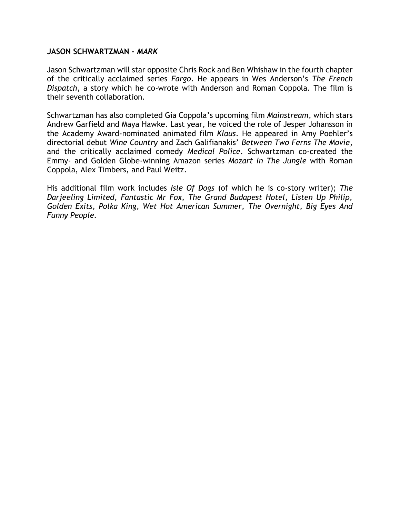#### **JASON SCHWARTZMAN –** *MARK*

Jason Schwartzman will star opposite Chris Rock and Ben Whishaw in the fourth chapter of the critically acclaimed series *Fargo*. He appears in Wes Anderson's *The French Dispatch*, a story which he co-wrote with Anderson and Roman Coppola. The film is their seventh collaboration.

Schwartzman has also completed Gia Coppola's upcoming film *Mainstream*, which stars Andrew Garfield and Maya Hawke. Last year, he voiced the role of Jesper Johansson in the Academy Award-nominated animated film *Klaus*. He appeared in Amy Poehler's directorial debut *Wine Country* and Zach Galifianakis' *Between Two Ferns The Movie*, and the critically acclaimed comedy *Medical Police*. Schwartzman co-created the Emmy- and Golden Globe-winning Amazon series *Mozart In The Jungle* with Roman Coppola, Alex Timbers, and Paul Weitz.

His additional film work includes *Isle Of Dogs* (of which he is co-story writer); *The Darjeeling Limited, Fantastic Mr Fox, The Grand Budapest Hotel, Listen Up Philip, Golden Exits, Polka King, Wet Hot American Summer, The Overnight, Big Eyes And Funny People.*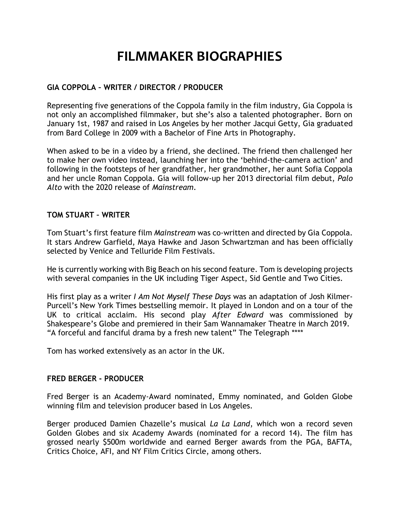## **FILMMAKER BIOGRAPHIES**

## **GIA COPPOLA – WRITER / DIRECTOR / PRODUCER**

Representing five generations of the Coppola family in the film industry, Gia Coppola is not only an accomplished filmmaker, but she's also a talented photographer. Born on January 1st, 1987 and raised in Los Angeles by her mother Jacqui Getty, Gia graduated from Bard College in 2009 with a Bachelor of Fine Arts in Photography.

When asked to be in a video by a friend, she declined. The friend then challenged her to make her own video instead, launching her into the 'behind-the-camera action' and following in the footsteps of her grandfather, her grandmother, her aunt Sofia Coppola and her uncle Roman Coppola. Gia will follow-up her 2013 directorial film debut, *Palo Alto* with the 2020 release of *Mainstream*.

#### **TOM STUART – WRITER**

Tom Stuart's first feature film *Mainstream* was co-written and directed by Gia Coppola. It stars Andrew Garfield, Maya Hawke and Jason Schwartzman and has been officially selected by Venice and Telluride Film Festivals.

He is currently working with Big Beach on his second feature. Tom is developing projects with several companies in the UK including Tiger Aspect, Sid Gentle and Two Cities.

His first play as a writer *I Am Not Myself These Days* was an adaptation of Josh Kilmer-Purcell's New York Times bestselling memoir. It played in London and on a tour of the UK to critical acclaim. His second play *After Edward* was commissioned by Shakespeare's Globe and premiered in their Sam Wannamaker Theatre in March 2019. "A forceful and fanciful drama by a fresh new talent" The Telegraph \*\*\*\*

Tom has worked extensively as an actor in the UK.

#### **FRED BERGER - PRODUCER**

Fred Berger is an Academy-Award nominated, Emmy nominated, and Golden Globe winning film and television producer based in Los Angeles.

Berger produced Damien Chazelle's musical *La La Land*, which won a record seven Golden Globes and six Academy Awards (nominated for a record 14). The film has grossed nearly \$500m worldwide and earned Berger awards from the PGA, BAFTA, Critics Choice, AFI, and NY Film Critics Circle, among others.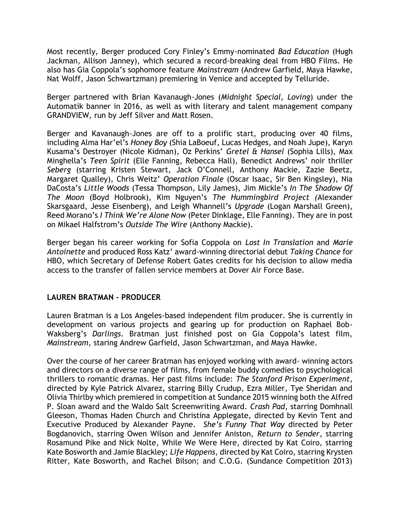Most recently, Berger produced Cory Finley's Emmy-nominated *Bad Education* (Hugh Jackman, Allison Janney), which secured a record-breaking deal from HBO Films. He also has Gia Coppola's sophomore feature *Mainstream* (Andrew Garfield, Maya Hawke, Nat Wolff, Jason Schwartzman) premiering in Venice and accepted by Telluride.

Berger partnered with Brian Kavanaugh-Jones (*Midnight Special, Loving*) under the Automatik banner in 2016, as well as with literary and talent management company GRANDVIEW, run by Jeff Silver and Matt Rosen.

Berger and Kavanaugh-Jones are off to a prolific start, producing over 40 films, including Alma Har'el's *Honey Boy* (Shia LaBoeuf, Lucas Hedges, and Noah Jupe), Karyn Kusama's Destroyer (Nicole Kidman), Oz Perkins' *Gretel & Hansel* (Sophia Lills), Max Minghella's *Teen Spirit* (Elle Fanning, Rebecca Hall), Benedict Andrews' noir thriller *Seberg* (starring Kristen Stewart, Jack O'Connell, Anthony Mackie, Zazie Beetz, Margaret Qualley), Chris Weitz' *Operation Finale* (Oscar Isaac, Sir Ben Kingsley), Nia DaCosta's *Little Woods* (Tessa Thompson, Lily James), Jim Mickle's *In The Shadow Of The Moon* (Boyd Holbrook), Kim Nguyen's *The Hummingbird Project (*Alexander Skarsgaard, Jesse Eisenberg), and Leigh Whannell's *Upgrade* (Logan Marshall Green), Reed Morano's *I Think We're Alone Now* (Peter Dinklage, Elle Fanning). They are in post on Mikael Halfstrom's *Outside The Wire* (Anthony Mackie).

Berger began his career working for Sofia Coppola on *Lost In Translation* and *Marie Antoinette* and produced Ross Katz' award-winning directorial debut *Taking Chance* for HBO, which Secretary of Defense Robert Gates credits for his decision to allow media access to the transfer of fallen service members at Dover Air Force Base.

## **LAUREN BRATMAN - PRODUCER**

Lauren Bratman is a Los Angeles-based independent film producer. She is currently in development on various projects and gearing up for production on Raphael Bob-Waksberg's *Darlings*. Bratman just finished post on Gia Coppola's latest film, *Mainstream*, staring Andrew Garfield, Jason Schwartzman, and Maya Hawke.

Over the course of her career Bratman has enjoyed working with award- winning actors and directors on a diverse range of films, from female buddy comedies to psychological thrillers to romantic dramas. Her past films include: *The Stanford Prison Experiment*, directed by Kyle Patrick Alvarez, starring Billy Crudup, Ezra Miller, Tye Sheridan and Olivia Thirlby which premiered in competition at Sundance 2015 winning both the Alfred P. Sloan award and the Waldo Salt Screenwriting Award. *Crash Pad*, starring Domhnall Gleeson, Thomas Haden Church and Christina Applegate, directed by Kevin Tent and Executive Produced by Alexander Payne. *She's Funny That Way* directed by Peter Bogdanovich, starring Owen Wilson and Jennifer Aniston, *Return to Sender*, starring Rosamund Pike and Nick Nolte, While We Were Here, directed by Kat Coiro, starring Kate Bosworth and Jamie Blackley; *Life Happens*, directed by Kat Coiro, starring Krysten Ritter, Kate Bosworth, and Rachel Bilson; and C.O.G. (Sundance Competition 2013)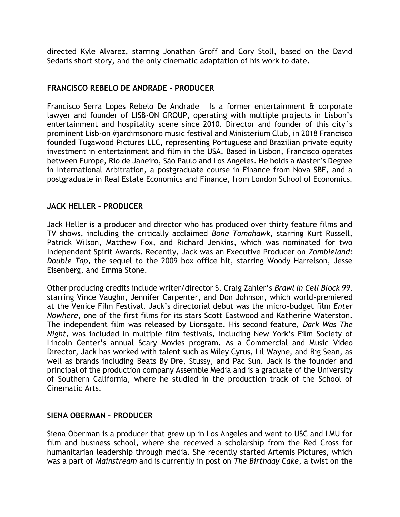directed Kyle Alvarez, starring Jonathan Groff and Cory Stoll, based on the David Sedaris short story, and the only cinematic adaptation of his work to date.

## **FRANCISCO REBELO DE ANDRADE - PRODUCER**

Francisco Serra Lopes Rebelo De Andrade – Is a former entertainment & corporate lawyer and founder of LISB-ON GROUP, operating with multiple projects in Lisbon's entertainment and hospitality scene since 2010. Director and founder of this city´s prominent Lisb-on #jardimsonoro music festival and Ministerium Club, in 2018 Francisco founded Tugawood Pictures LLC, representing Portuguese and Brazilian private equity investment in entertainment and film in the USA. Based in Lisbon, Francisco operates between Europe, Rio de Janeiro, São Paulo and Los Angeles. He holds a Master's Degree in International Arbitration, a postgraduate course in Finance from Nova SBE, and a postgraduate in Real Estate Economics and Finance, from London School of Economics.

### **JACK HELLER – PRODUCER**

Jack Heller is a producer and director who has produced over thirty feature films and TV shows, including the critically acclaimed *Bone Tomahawk*, starring Kurt Russell, Patrick Wilson, Matthew Fox, and Richard Jenkins, which was nominated for two Independent Spirit Awards. Recently, Jack was an Executive Producer on *Zombieland: Double Tap*, the sequel to the 2009 box office hit, starring Woody Harrelson, Jesse Eisenberg, and Emma Stone.

Other producing credits include writer/director S. Craig Zahler's *Brawl In Cell Block 99*, starring Vince Vaughn, Jennifer Carpenter, and Don Johnson, which world-premiered at the Venice Film Festival. Jack's directorial debut was the micro-budget film *Enter Nowhere*, one of the first films for its stars Scott Eastwood and Katherine Waterston. The independent film was released by Lionsgate. His second feature, *Dark Was The Night*, was included in multiple film festivals, including New York's Film Society of Lincoln Center's annual Scary Movies program. As a Commercial and Music Video Director, Jack has worked with talent such as Miley Cyrus, Lil Wayne, and Big Sean, as well as brands including Beats By Dre, Stussy, and Pac Sun. Jack is the founder and principal of the production company Assemble Media and is a graduate of the University of Southern California, where he studied in the production track of the School of Cinematic Arts.

### **SIENA OBERMAN – PRODUCER**

Siena Oberman is a producer that grew up in Los Angeles and went to USC and LMU for film and business school, where she received a scholarship from the Red Cross for humanitarian leadership through media. She recently started Artemis Pictures, which was a part of *Mainstream* and is currently in post on *The Birthday Cake*, a twist on the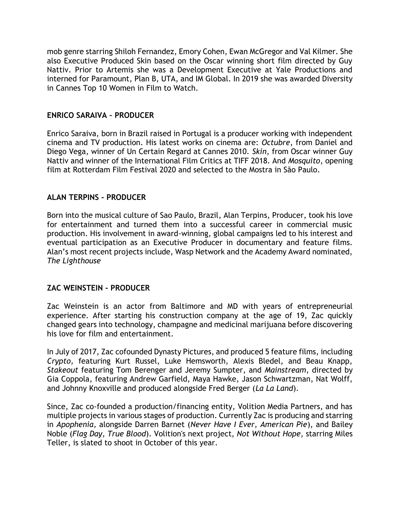mob genre starring Shiloh Fernandez, Emory Cohen, Ewan McGregor and Val Kilmer. She also Executive Produced Skin based on the Oscar winning short film directed by Guy Nattiv. Prior to Artemis she was a Development Executive at Yale Productions and interned for Paramount, Plan B, UTA, and IM Global. In 2019 she was awarded Diversity in Cannes Top 10 Women in Film to Watch.

## **ENRICO SARAIVA – PRODUCER**

Enrico Saraiva, born in Brazil raised in Portugal is a producer working with independent cinema and TV production. His latest works on cinema are: *Octubre*, from Daniel and Diego Vega, winner of Un Certain Regard at Cannes 2010. *Skin*, from Oscar winner Guy Nattiv and winner of the International Film Critics at TIFF 2018. And *Mosquito*, opening film at Rotterdam Film Festival 2020 and selected to the Mostra in São Paulo.

## **ALAN TERPINS - PRODUCER**

Born into the musical culture of Sao Paulo, Brazil, Alan Terpins, Producer, took his love for entertainment and turned them into a successful career in commercial music production. His involvement in award-winning, global campaigns led to his interest and eventual participation as an Executive Producer in documentary and feature films. Alan's most recent projects include, Wasp Network and the Academy Award nominated, *The Lighthouse*

## **ZAC WEINSTEIN - PRODUCER**

Zac Weinstein is an actor from Baltimore and MD with years of entrepreneurial experience. After starting his construction company at the age of 19, Zac quickly changed gears into technology, champagne and medicinal marijuana before discovering his love for film and entertainment.

In July of 2017, Zac cofounded Dynasty Pictures, and produced 5 feature films, including *Crypto,* featuring Kurt Russel, Luke Hemsworth, Alexis Bledel, and Beau Knapp, *Stakeout* featuring Tom Berenger and Jeremy Sumpter, and *Mainstream*, directed by Gia Coppola, featuring Andrew Garfield, Maya Hawke, Jason Schwartzman, Nat Wolff, and Johnny Knoxville and produced alongside Fred Berger (*La La Land*).

Since, Zac co-founded a production/financing entity, Volition Media Partners, and has multiple projects in various stages of production. Currently Zac is producing and starring in *Apophenia,* alongside Darren Barnet (*Never Have I Ever, American Pie*), and Bailey Noble (*Flag Day, True Blood*). Volition's next project, *Not Without Hope*, starring Miles Teller, is slated to shoot in October of this year.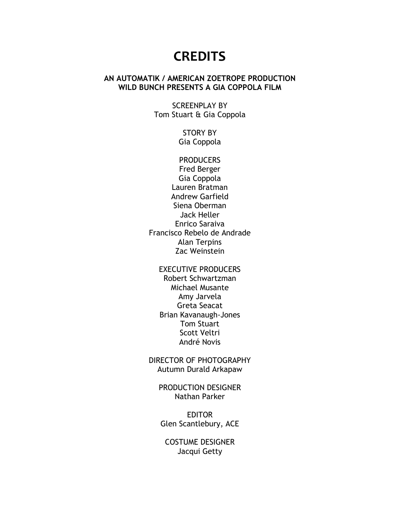## **CREDITS**

## **AN AUTOMATIK / AMERICAN ZOETROPE PRODUCTION WILD BUNCH PRESENTS A GIA COPPOLA FILM**

SCREENPLAY BY Tom Stuart & Gia Coppola

> STORY BY Gia Coppola

**PRODUCERS** Fred Berger Gia Coppola Lauren Bratman Andrew Garfield Siena Oberman Jack Heller Enrico Saraiva Francisco Rebelo de Andrade Alan Terpins Zac Weinstein

#### EXECUTIVE PRODUCERS

Robert Schwartzman Michael Musante Amy Jarvela Greta Seacat Brian Kavanaugh-Jones Tom Stuart Scott Veltri André Novis

DIRECTOR OF PHOTOGRAPHY Autumn Durald Arkapaw

PRODUCTION DESIGNER Nathan Parker

EDITOR Glen Scantlebury, ACE

COSTUME DESIGNER Jacqui Getty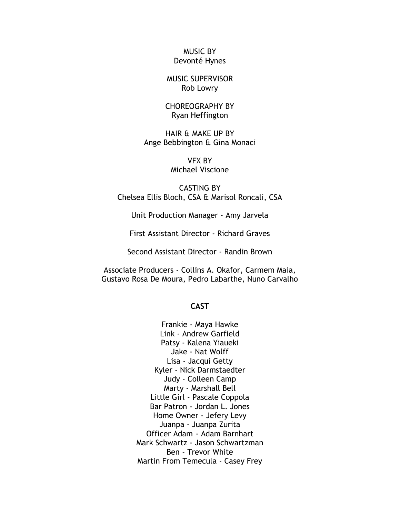MUSIC BY Devonté Hynes

MUSIC SUPERVISOR Rob Lowry

CHOREOGRAPHY BY Ryan Heffington

HAIR & MAKE UP BY Ange Bebbington & Gina Monaci

> VFX BY Michael Viscione

CASTING BY Chelsea Ellis Bloch, CSA & Marisol Roncali, CSA

Unit Production Manager - Amy Jarvela

First Assistant Director - Richard Graves

Second Assistant Director - Randin Brown

Associate Producers - Collins A. Okafor, Carmem Maia, Gustavo Rosa De Moura, Pedro Labarthe, Nuno Carvalho

#### **CAST**

Frankie - Maya Hawke Link - Andrew Garfield Patsy - Kalena Yiaueki Jake - Nat Wolff Lisa - Jacqui Getty Kyler - Nick Darmstaedter Judy - Colleen Camp Marty - Marshall Bell Little Girl - Pascale Coppola Bar Patron - Jordan L. Jones Home Owner - Jefery Levy Juanpa - Juanpa Zurita Officer Adam - Adam Barnhart Mark Schwartz - Jason Schwartzman Ben - Trevor White Martin From Temecula - Casey Frey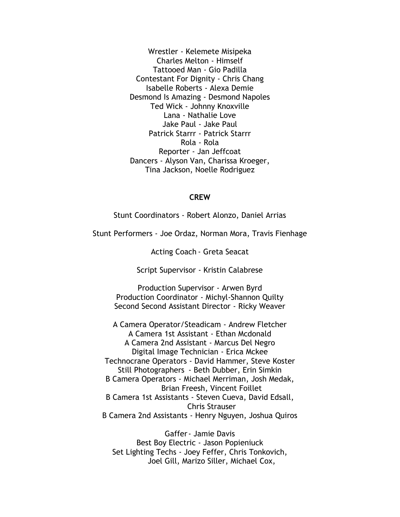Wrestler - Kelemete Misipeka Charles Melton - Himself Tattooed Man - Gio Padilla Contestant For Dignity - Chris Chang Isabelle Roberts - Alexa Demie Desmond Is Amazing - Desmond Napoles Ted Wick - Johnny Knoxville Lana - Nathalie Love Jake Paul - Jake Paul Patrick Starrr - Patrick Starrr Rola - Rola Reporter - Jan Jeffcoat Dancers - Alyson Van, Charissa Kroeger, Tina Jackson, Noelle Rodriguez

#### **CREW**

Stunt Coordinators - Robert Alonzo, Daniel Arrias

Stunt Performers - Joe Ordaz, Norman Mora, Travis Fienhage

Acting Coach - Greta Seacat

Script Supervisor - Kristin Calabrese

Production Supervisor - Arwen Byrd Production Coordinator - Michyl-Shannon Quilty Second Second Assistant Director - Ricky Weaver

A Camera Operator/Steadicam - Andrew Fletcher A Camera 1st Assistant - Ethan Mcdonald A Camera 2nd Assistant - Marcus Del Negro Digital Image Technician - Erica Mckee Technocrane Operators - David Hammer, Steve Koster Still Photographers - Beth Dubber, Erin Simkin B Camera Operators - Michael Merriman, Josh Medak, Brian Freesh, Vincent Foillet B Camera 1st Assistants - Steven Cueva, David Edsall, Chris Strauser B Camera 2nd Assistants - Henry Nguyen, Joshua Quiros

Gaffer- Jamie Davis Best Boy Electric - Jason Popieniuck Set Lighting Techs - Joey Feffer, Chris Tonkovich, Joel Gill, Marizo Siller, Michael Cox,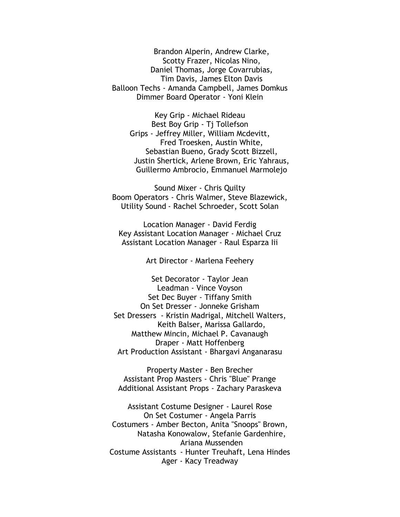Brandon Alperin, Andrew Clarke, Scotty Frazer, Nicolas Nino, Daniel Thomas, Jorge Covarrubias, Tim Davis, James Elton Davis Balloon Techs - Amanda Campbell, James Domkus Dimmer Board Operator - Yoni Klein

Key Grip - Michael Rideau Best Boy Grip - Tj Tollefson Grips - Jeffrey Miller, William Mcdevitt, Fred Troesken, Austin White, Sebastian Bueno, Grady Scott Bizzell, Justin Shertick, Arlene Brown, Eric Yahraus, Guillermo Ambrocio, Emmanuel Marmolejo

Sound Mixer - Chris Quilty Boom Operators - Chris Walmer, Steve Blazewick, Utility Sound - Rachel Schroeder, Scott Solan

Location Manager - David Ferdig Key Assistant Location Manager - Michael Cruz Assistant Location Manager - Raul Esparza Iii

Art Director - Marlena Feehery

Set Decorator - Taylor Jean Leadman - Vince Voyson Set Dec Buyer - Tiffany Smith On Set Dresser - Jonneke Grisham Set Dressers - Kristin Madrigal, Mitchell Walters, Keith Balser, Marissa Gallardo, Matthew Mincin, Michael P. Cavanaugh Draper - Matt Hoffenberg Art Production Assistant - Bhargavi Anganarasu

Property Master - Ben Brecher Assistant Prop Masters - Chris "Blue" Prange Additional Assistant Props - Zachary Paraskeva

Assistant Costume Designer - Laurel Rose On Set Costumer - Angela Parris Costumers - Amber Becton, Anita "Snoops" Brown, Natasha Konowalow, Stefanie Gardenhire, Ariana Mussenden Costume Assistants - Hunter Treuhaft, Lena Hindes Ager - Kacy Treadway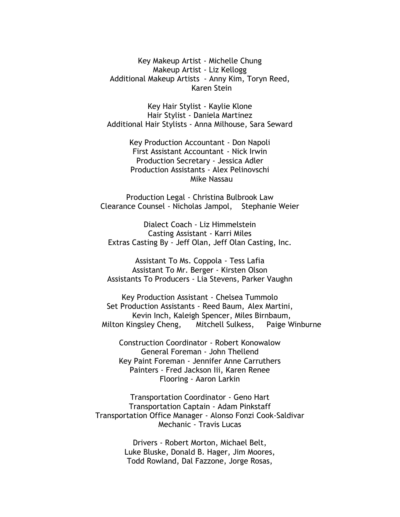Key Makeup Artist - Michelle Chung Makeup Artist - Liz Kellogg Additional Makeup Artists - Anny Kim, Toryn Reed, Karen Stein

Key Hair Stylist - Kaylie Klone Hair Stylist - Daniela Martinez Additional Hair Stylists - Anna Milhouse, Sara Seward

> Key Production Accountant - Don Napoli First Assistant Accountant - Nick Irwin Production Secretary - Jessica Adler Production Assistants - Alex Pelinovschi Mike Nassau

Production Legal - Christina Bulbrook Law Clearance Counsel - Nicholas Jampol, Stephanie Weier

Dialect Coach - Liz Himmelstein Casting Assistant - Karri Miles Extras Casting By - Jeff Olan, Jeff Olan Casting, Inc.

Assistant To Ms. Coppola - Tess Lafia Assistant To Mr. Berger - Kirsten Olson Assistants To Producers - Lia Stevens, Parker Vaughn

Key Production Assistant - Chelsea Tummolo Set Production Assistants - Reed Baum, Alex Martini, Kevin Inch, Kaleigh Spencer, Miles Birnbaum, Milton Kingsley Cheng, Mitchell Sulkess, Paige Winburne

Construction Coordinator - Robert Konowalow General Foreman - John Thellend Key Paint Foreman - Jennifer Anne Carruthers Painters - Fred Jackson Iii, Karen Renee Flooring - Aaron Larkin

Transportation Coordinator - Geno Hart Transportation Captain - Adam Pinkstaff Transportation Office Manager - Alonso Fonzi Cook-Saldivar Mechanic - Travis Lucas

> Drivers - Robert Morton, Michael Belt, Luke Bluske, Donald B. Hager, Jim Moores, Todd Rowland, Dal Fazzone, Jorge Rosas,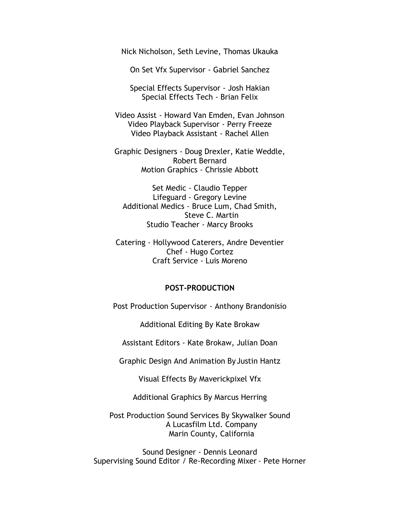Nick Nicholson, Seth Levine, Thomas Ukauka

On Set Vfx Supervisor - Gabriel Sanchez

Special Effects Supervisor - Josh Hakian Special Effects Tech - Brian Felix

Video Assist - Howard Van Emden, Evan Johnson Video Playback Supervisor - Perry Freeze Video Playback Assistant - Rachel Allen

Graphic Designers - Doug Drexler, Katie Weddle, Robert Bernard Motion Graphics - Chrissie Abbott

Set Medic - Claudio Tepper Lifeguard - Gregory Levine Additional Medics - Bruce Lum, Chad Smith, Steve C. Martin Studio Teacher - Marcy Brooks

Catering - Hollywood Caterers, Andre Deventier Chef - Hugo Cortez Craft Service - Luis Moreno

#### **POST-PRODUCTION**

Post Production Supervisor - Anthony Brandonisio

Additional Editing By Kate Brokaw

Assistant Editors - Kate Brokaw, Julian Doan

Graphic Design And Animation By Justin Hantz

Visual Effects By Maverickpixel Vfx

Additional Graphics By Marcus Herring

Post Production Sound Services By Skywalker Sound A Lucasfilm Ltd. Company Marin County, California

Sound Designer - Dennis Leonard Supervising Sound Editor / Re-Recording Mixer - Pete Horner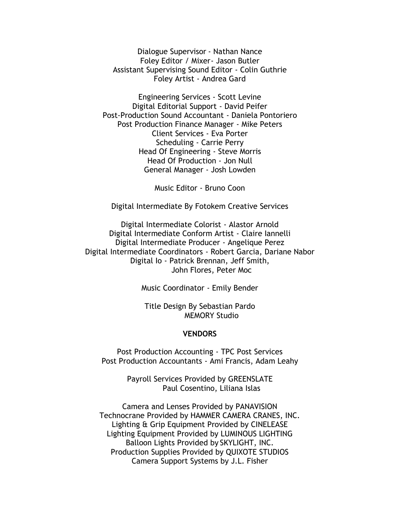Dialogue Supervisor - Nathan Nance Foley Editor / Mixer- Jason Butler Assistant Supervising Sound Editor - Colin Guthrie Foley Artist - Andrea Gard

Engineering Services - Scott Levine Digital Editorial Support - David Peifer Post-Production Sound Accountant - Daniela Pontoriero Post Production Finance Manager - Mike Peters Client Services - Eva Porter Scheduling - Carrie Perry Head Of Engineering - Steve Morris Head Of Production - Jon Null General Manager - Josh Lowden

Music Editor - Bruno Coon

Digital Intermediate By Fotokem Creative Services

Digital Intermediate Colorist - Alastor Arnold Digital Intermediate Conform Artist - Claire Iannelli Digital Intermediate Producer - Angelique Perez Digital Intermediate Coordinators - Robert Garcia, Dariane Nabor Digital Io - Patrick Brennan, Jeff Smith, John Flores, Peter Moc

Music Coordinator - Emily Bender

Title Design By Sebastian Pardo MEMORY Studio

#### **VENDORS**

Post Production Accounting - TPC Post Services Post Production Accountants - Ami Francis, Adam Leahy

> Payroll Services Provided by GREENSLATE Paul Cosentino, Liliana Islas

Camera and Lenses Provided by PANAVISION Technocrane Provided by HAMMER CAMERA CRANES, INC. Lighting & Grip Equipment Provided by CINELEASE Lighting Equipment Provided by LUMINOUS LIGHTING Balloon Lights Provided by SKYLIGHT, INC. Production Supplies Provided by QUIXOTE STUDIOS Camera Support Systems by J.L. Fisher